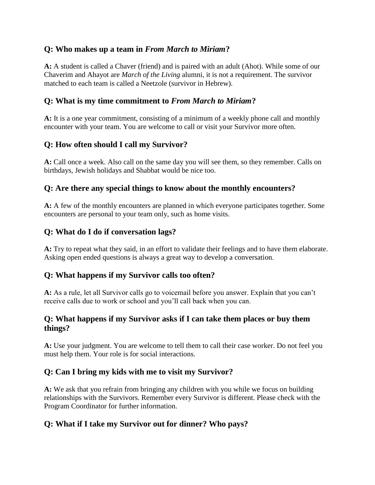### **Q: Who makes up a team in** *From March to Miriam***?**

**A:** A student is called a Chaver (friend) and is paired with an adult (Ahot). While some of our Chaverim and Ahayot are *March of the Living* alumni, it is not a requirement. The survivor matched to each team is called a Neetzole (survivor in Hebrew).

#### **Q: What is my time commitment to** *From March to Miriam***?**

**A:** It is a one year commitment, consisting of a minimum of a weekly phone call and monthly encounter with your team. You are welcome to call or visit your Survivor more often.

## **Q: How often should I call my Survivor?**

**A:** Call once a week. Also call on the same day you will see them, so they remember. Calls on birthdays, Jewish holidays and Shabbat would be nice too.

## **Q: Are there any special things to know about the monthly encounters?**

**A:** A few of the monthly encounters are planned in which everyone participates together. Some encounters are personal to your team only, such as home visits.

#### **Q: What do I do if conversation lags?**

**A:** Try to repeat what they said, in an effort to validate their feelings and to have them elaborate. Asking open ended questions is always a great way to develop a conversation.

#### **Q: What happens if my Survivor calls too often?**

**A:** As a rule, let all Survivor calls go to voicemail before you answer. Explain that you can't receive calls due to work or school and you'll call back when you can.

#### **Q: What happens if my Survivor asks if I can take them places or buy them things?**

**A:** Use your judgment. You are welcome to tell them to call their case worker. Do not feel you must help them. Your role is for social interactions.

## **Q: Can I bring my kids with me to visit my Survivor?**

**A:** We ask that you refrain from bringing any children with you while we focus on building relationships with the Survivors. Remember every Survivor is different. Please check with the Program Coordinator for further information.

## **Q: What if I take my Survivor out for dinner? Who pays?**